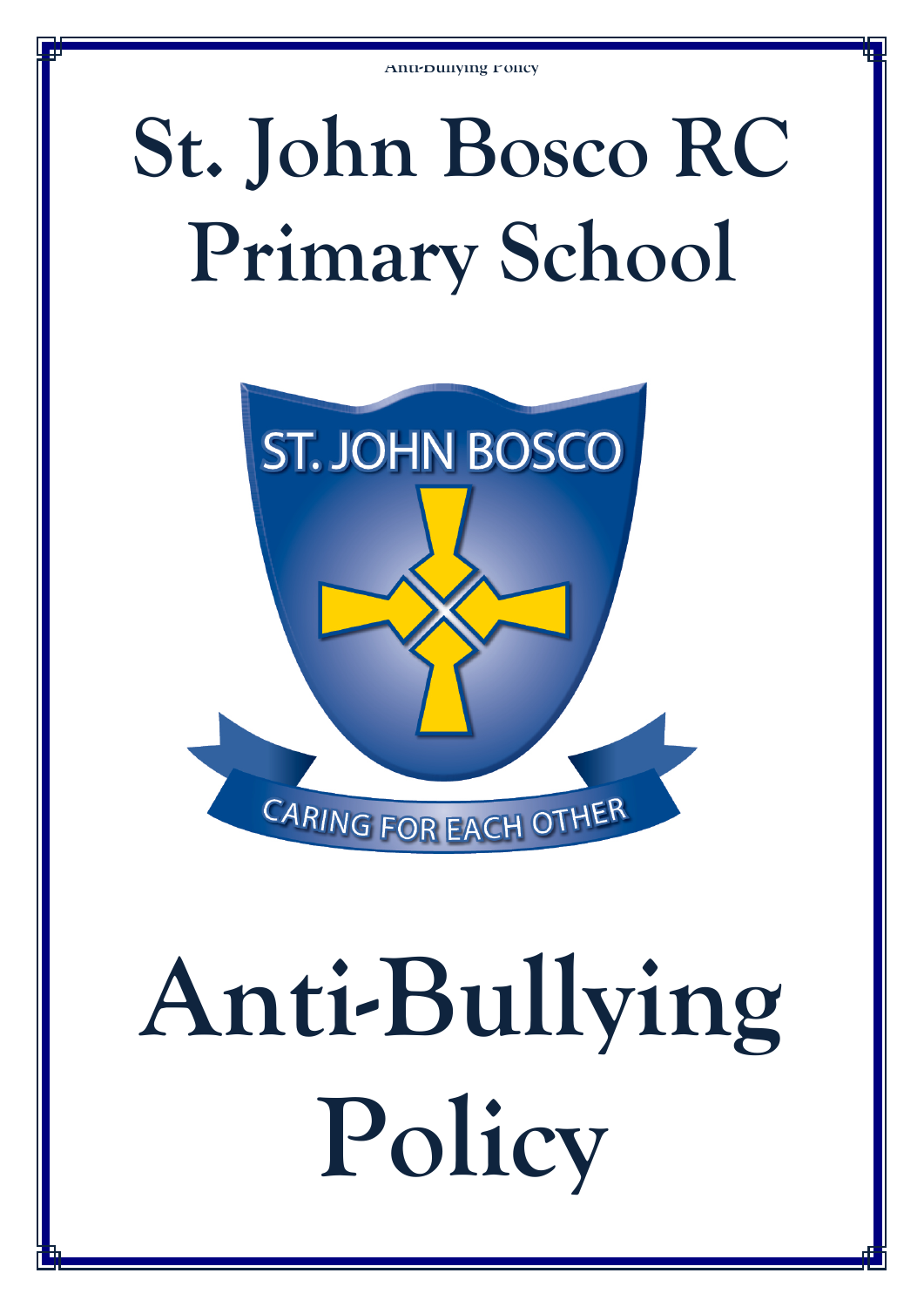## **St. John Bosco RC Primary School**



# **Anti-Bullying Policy**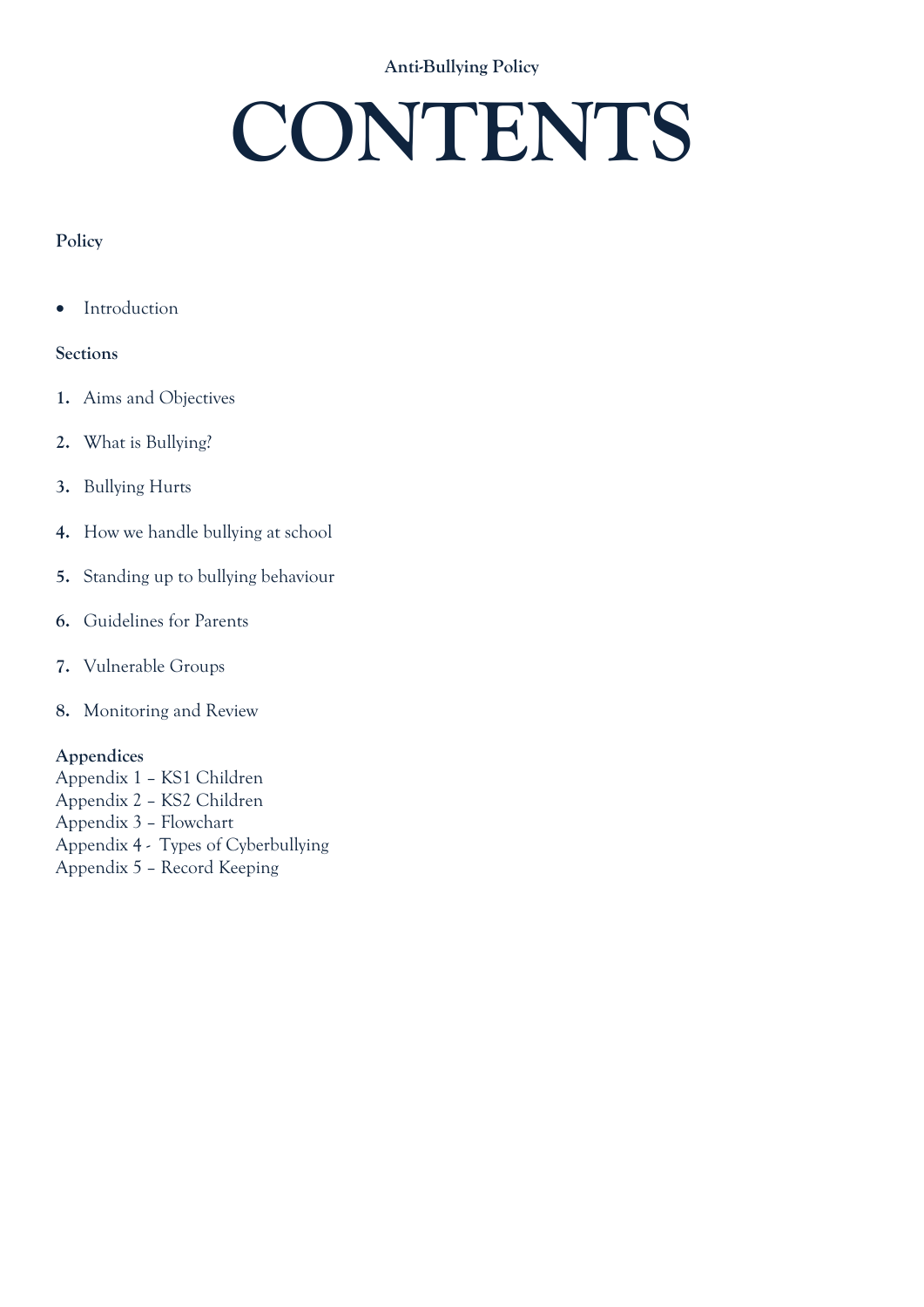### **CONTENTS**

### **Policy**

• Introduction

### **Sections**

- **1.** Aims and Objectives
- **2.** What is Bullying?
- **3.** Bullying Hurts
- **4.** How we handle bullying at school
- **5.** Standing up to bullying behaviour
- **6.** Guidelines for Parents
- **7.** Vulnerable Groups
- **8.** Monitoring and Review

### **Appendices**

Appendix 1 – KS1 Children Appendix 2 – KS2 Children Appendix 3 – Flowchart Appendix 4 - Types of Cyberbullying Appendix 5 – Record Keeping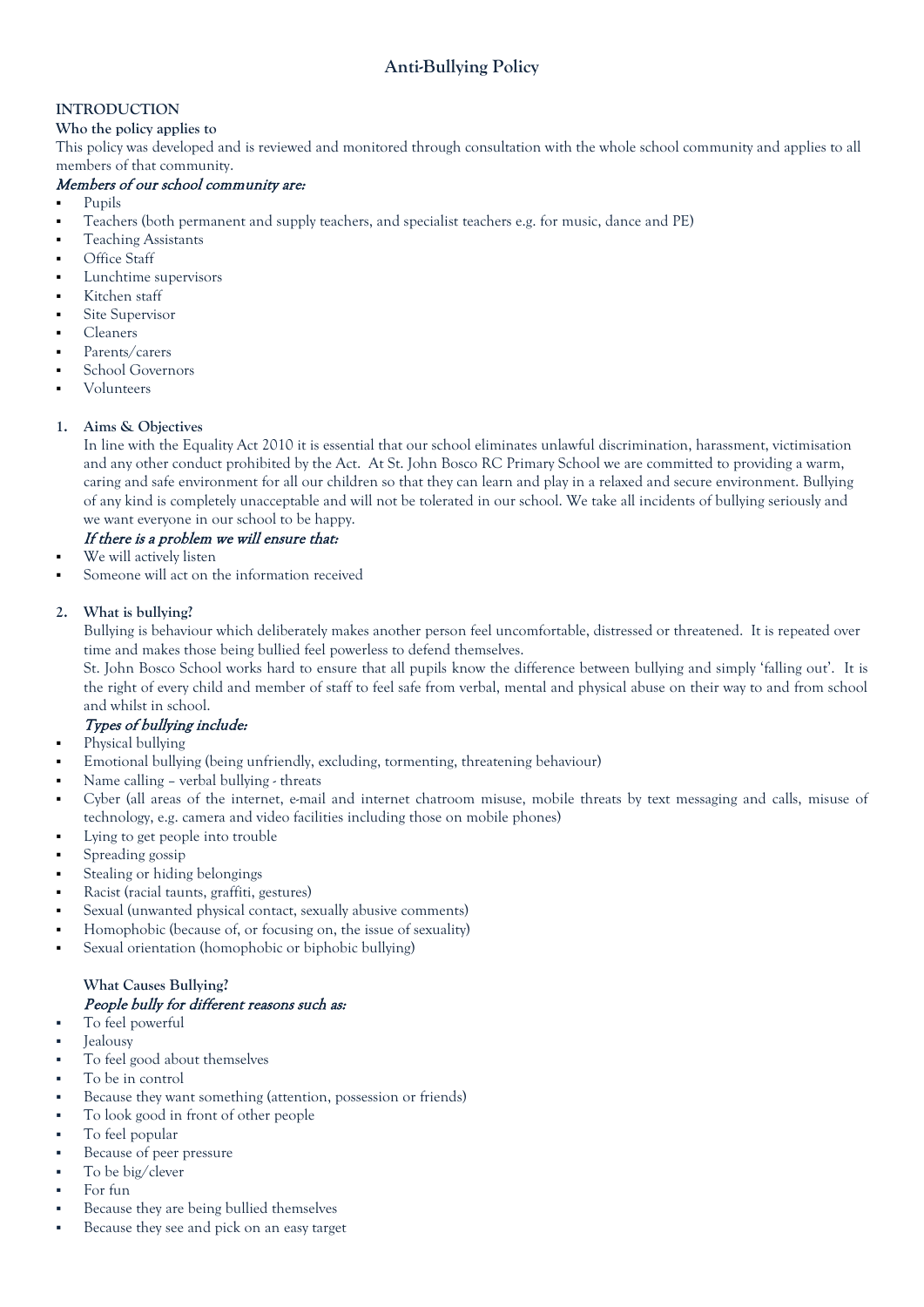### **INTRODUCTION**

### **Who the policy applies to**

This policy was developed and is reviewed and monitored through consultation with the whole school community and applies to all members of that community.

### Members of our school community are:

- Pupils
- Teachers (both permanent and supply teachers, and specialist teachers e.g. for music, dance and PE)
- Teaching Assistants
- Office Staff
- Lunchtime supervisors
- Kitchen staff
- Site Supervisor
- Cleaners
- Parents/carers
- School Governors
- Volunteers

### **1. Aims & Objectives**

In line with the Equality Act 2010 it is essential that our school eliminates unlawful discrimination, harassment, victimisation and any other conduct prohibited by the Act. At St. John Bosco RC Primary School we are committed to providing a warm, caring and safe environment for all our children so that they can learn and play in a relaxed and secure environment. Bullying of any kind is completely unacceptable and will not be tolerated in our school. We take all incidents of bullying seriously and we want everyone in our school to be happy.

### If there is a problem we will ensure that:

- We will actively listen
- Someone will act on the information received

### **2. What is bullying?**

Bullying is behaviour which deliberately makes another person feel uncomfortable, distressed or threatened. It is repeated over time and makes those being bullied feel powerless to defend themselves.

St. John Bosco School works hard to ensure that all pupils know the difference between bullying and simply 'falling out'. It is the right of every child and member of staff to feel safe from verbal, mental and physical abuse on their way to and from school and whilst in school.

### Types of bullying include:

- Physical bullying
- Emotional bullying (being unfriendly, excluding, tormenting, threatening behaviour)
- Name calling verbal bullying threats
- Cyber (all areas of the internet, e-mail and internet chatroom misuse, mobile threats by text messaging and calls, misuse of technology, e.g. camera and video facilities including those on mobile phones)
- Lying to get people into trouble
- Spreading gossip
- Stealing or hiding belongings
- Racist (racial taunts, graffiti, gestures)
- Sexual (unwanted physical contact, sexually abusive comments)
- Homophobic (because of, or focusing on, the issue of sexuality)
- Sexual orientation (homophobic or biphobic bullying)

### **What Causes Bullying?**

### People bully for different reasons such as:

- To feel powerful
- Jealousy
- To feel good about themselves
- To be in control
- Because they want something (attention, possession or friends)
- To look good in front of other people
- To feel popular
- Because of peer pressure
- To be big/clever
- For fun
- Because they are being bullied themselves
- Because they see and pick on an easy target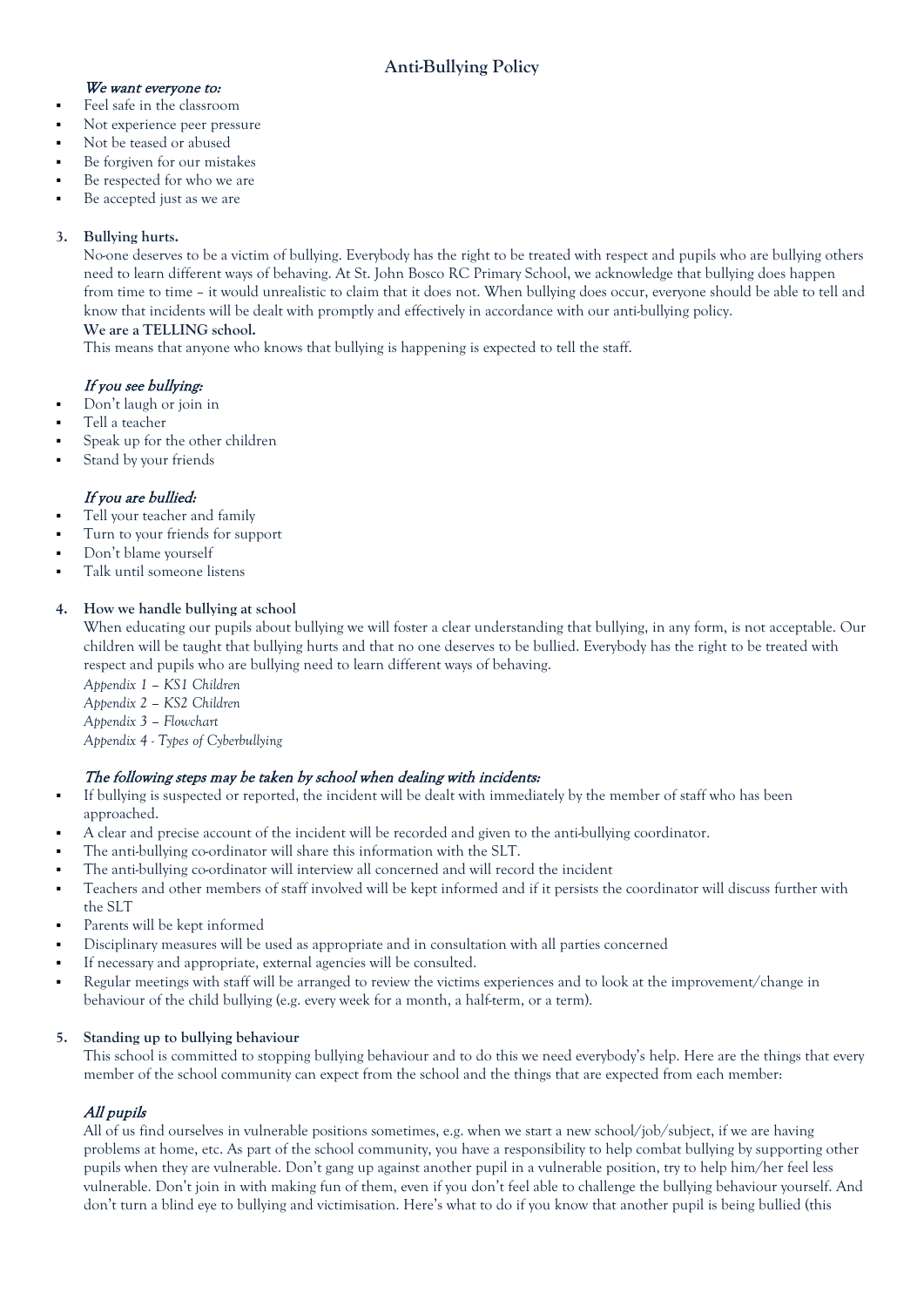### We want everyone to:

- Feel safe in the classroom
- Not experience peer pressure
- Not be teased or abused
- Be forgiven for our mistakes
- Be respected for who we are
- Be accepted just as we are

### **3. Bullying hurts.**

No-one deserves to be a victim of bullying. Everybody has the right to be treated with respect and pupils who are bullying others need to learn different ways of behaving. At St. John Bosco RC Primary School, we acknowledge that bullying does happen from time to time – it would unrealistic to claim that it does not. When bullying does occur, everyone should be able to tell and know that incidents will be dealt with promptly and effectively in accordance with our anti-bullying policy.

### **We are a TELLING school.**

This means that anyone who knows that bullying is happening is expected to tell the staff.

### If you see bullying:

- Don't laugh or join in
- Tell a teacher
- Speak up for the other children
- Stand by your friends

### If you are bullied:

- Tell your teacher and family
- Turn to your friends for support
- Don't blame yourself
- Talk until someone listens

### **4. How we handle bullying at school**

When educating our pupils about bullying we will foster a clear understanding that bullying, in any form, is not acceptable. Our children will be taught that bullying hurts and that no one deserves to be bullied. Everybody has the right to be treated with respect and pupils who are bullying need to learn different ways of behaving.

*Appendix 1 – KS1 Children Appendix 2 – KS2 Children Appendix 3 – Flowchart Appendix 4 - Types of Cyberbullying*

### The following steps may be taken by school when dealing with incidents:

- If bullying is suspected or reported, the incident will be dealt with immediately by the member of staff who has been approached.
- A clear and precise account of the incident will be recorded and given to the anti-bullying coordinator.
- The anti-bullying co-ordinator will share this information with the SLT.
- The anti-bullying co-ordinator will interview all concerned and will record the incident
- Teachers and other members of staff involved will be kept informed and if it persists the coordinator will discuss further with the SLT
- Parents will be kept informed
- Disciplinary measures will be used as appropriate and in consultation with all parties concerned
- If necessary and appropriate, external agencies will be consulted.
- Regular meetings with staff will be arranged to review the victims experiences and to look at the improvement/change in behaviour of the child bullying (e.g. every week for a month, a half-term, or a term).

### **5. Standing up to bullying behaviour**

This school is committed to stopping bullying behaviour and to do this we need everybody's help. Here are the things that every member of the school community can expect from the school and the things that are expected from each member:

### All pupils

All of us find ourselves in vulnerable positions sometimes, e.g. when we start a new school/job/subject, if we are having problems at home, etc. As part of the school community, you have a responsibility to help combat bullying by supporting other pupils when they are vulnerable. Don't gang up against another pupil in a vulnerable position, try to help him/her feel less vulnerable. Don't join in with making fun of them, even if you don't feel able to challenge the bullying behaviour yourself. And don't turn a blind eye to bullying and victimisation. Here's what to do if you know that another pupil is being bullied (this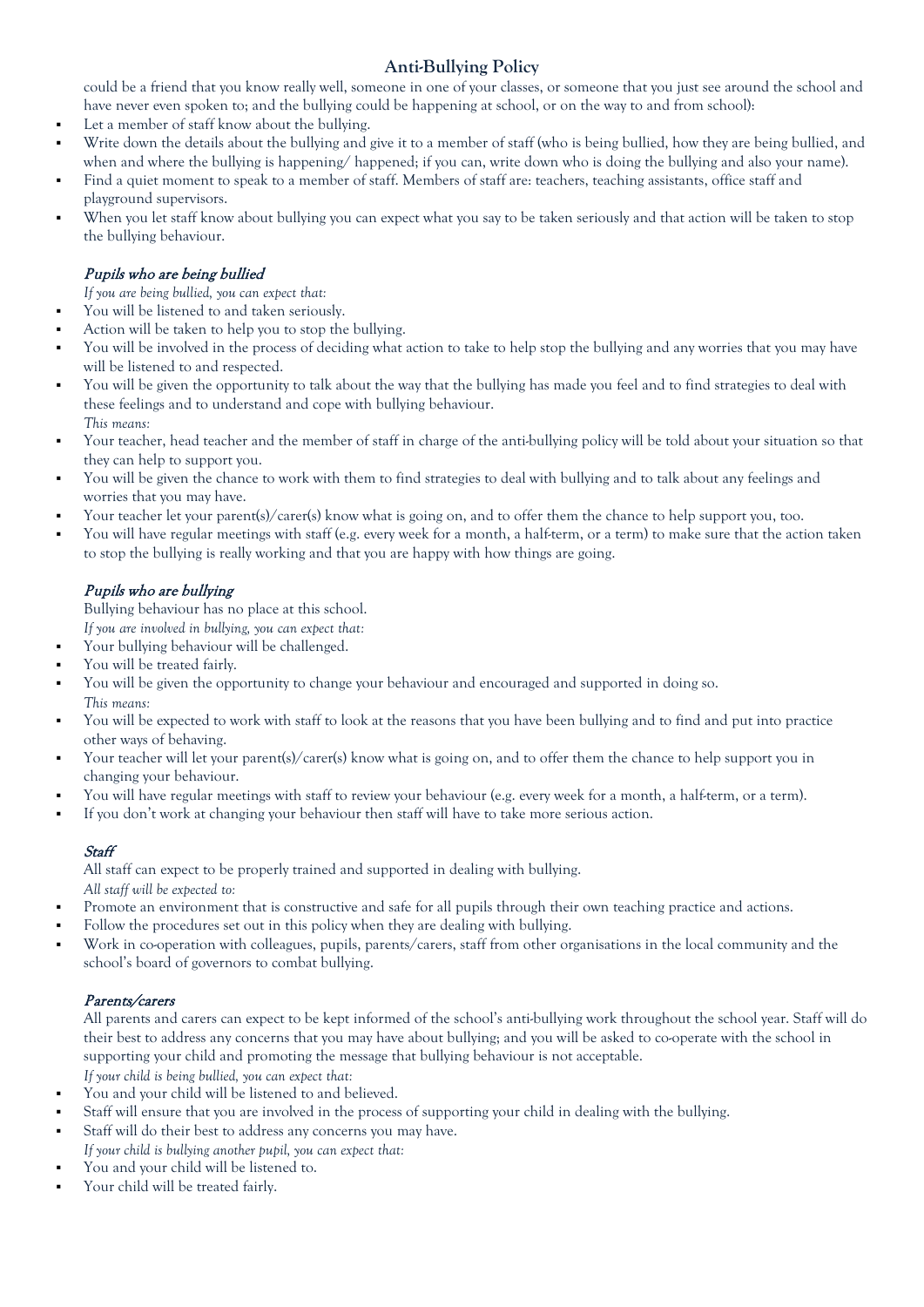could be a friend that you know really well, someone in one of your classes, or someone that you just see around the school and have never even spoken to; and the bullying could be happening at school, or on the way to and from school):

- Let a member of staff know about the bullying.
- Write down the details about the bullying and give it to a member of staff (who is being bullied, how they are being bullied, and when and where the bullying is happening/ happened; if you can, write down who is doing the bullying and also your name).
- Find a quiet moment to speak to a member of staff. Members of staff are: teachers, teaching assistants, office staff and playground supervisors.
- When you let staff know about bullying you can expect what you say to be taken seriously and that action will be taken to stop the bullying behaviour.

### Pupils who are being bullied

- *If you are being bullied, you can expect that:*
- You will be listened to and taken seriously.
- Action will be taken to help you to stop the bullying.
- You will be involved in the process of deciding what action to take to help stop the bullying and any worries that you may have will be listened to and respected.
- You will be given the opportunity to talk about the way that the bullying has made you feel and to find strategies to deal with these feelings and to understand and cope with bullying behaviour. *This means:*
- Your teacher, head teacher and the member of staff in charge of the anti-bullying policy will be told about your situation so that they can help to support you.
- You will be given the chance to work with them to find strategies to deal with bullying and to talk about any feelings and worries that you may have.
- Your teacher let your parent(s)/carer(s) know what is going on, and to offer them the chance to help support you, too.
- You will have regular meetings with staff (e.g. every week for a month, a half-term, or a term) to make sure that the action taken to stop the bullying is really working and that you are happy with how things are going.

### Pupils who are bullying

Bullying behaviour has no place at this school.

- *If you are involved in bullying, you can expect that:*
- Your bullying behaviour will be challenged.
- You will be treated fairly.
- You will be given the opportunity to change your behaviour and encouraged and supported in doing so.
- *This means:*
- You will be expected to work with staff to look at the reasons that you have been bullying and to find and put into practice other ways of behaving.
- Your teacher will let your parent(s)/carer(s) know what is going on, and to offer them the chance to help support you in changing your behaviour.
- You will have regular meetings with staff to review your behaviour (e.g. every week for a month, a half-term, or a term).
- If you don't work at changing your behaviour then staff will have to take more serious action.

### **Staff**

All staff can expect to be properly trained and supported in dealing with bullying. *All staff will be expected to:* 

- Promote an environment that is constructive and safe for all pupils through their own teaching practice and actions.
- Follow the procedures set out in this policy when they are dealing with bullying.
- Work in co-operation with colleagues, pupils, parents/carers, staff from other organisations in the local community and the school's board of governors to combat bullying.

### Parents/carers

All parents and carers can expect to be kept informed of the school's anti-bullying work throughout the school year. Staff will do their best to address any concerns that you may have about bullying; and you will be asked to co-operate with the school in supporting your child and promoting the message that bullying behaviour is not acceptable. *If your child is being bullied, you can expect that:* 

- You and your child will be listened to and believed.
- Staff will ensure that you are involved in the process of supporting your child in dealing with the bullying.
- Staff will do their best to address any concerns you may have.
- *If your child is bullying another pupil, you can expect that:*
- You and your child will be listened to.
- Your child will be treated fairly.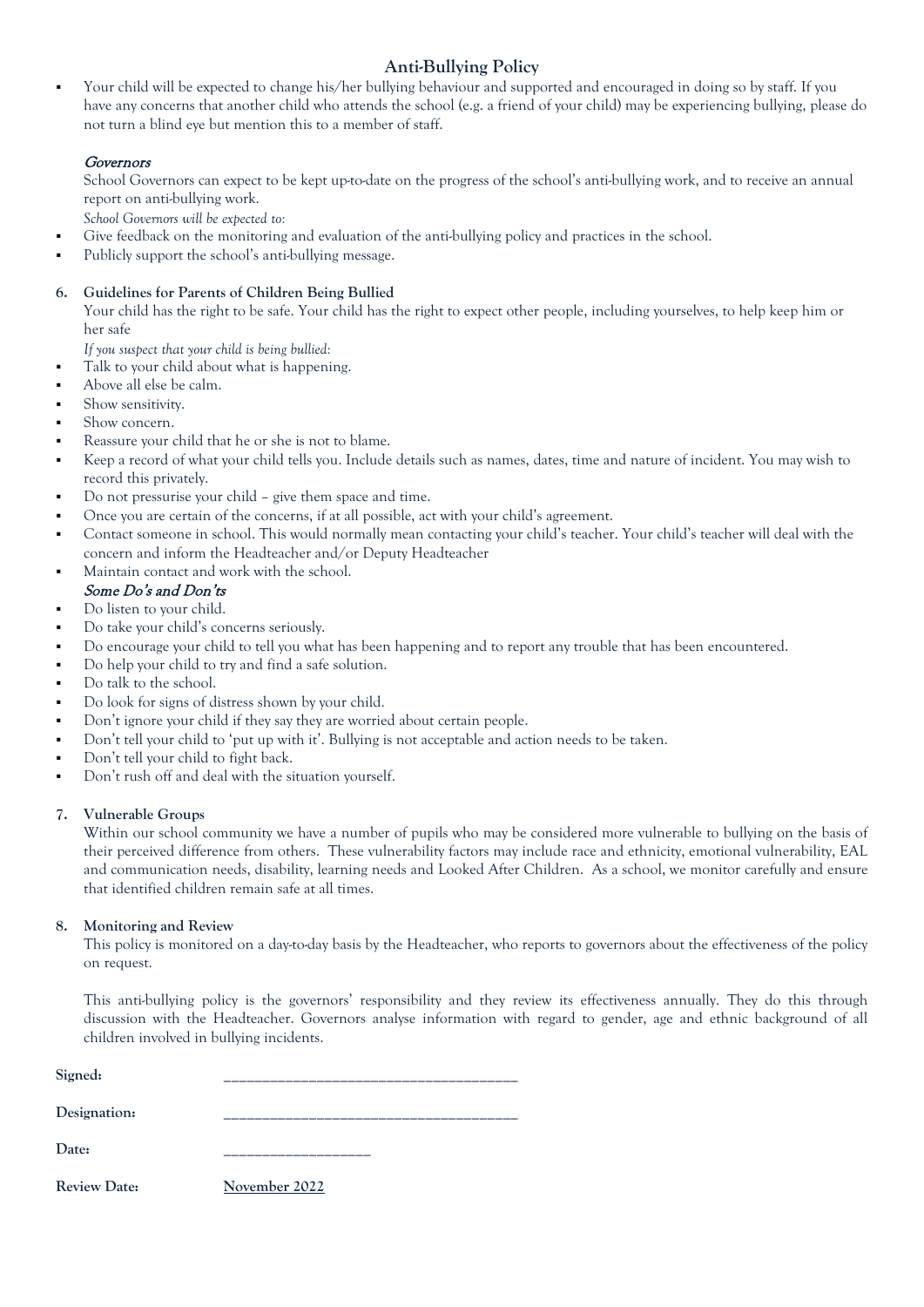Your child will be expected to change his/her bullying behaviour and supported and encouraged in doing so by staff. If you have any concerns that another child who attends the school (e.g. a friend of your child) may be experiencing bullying, please do not turn a blind eye but mention this to a member of staff.

### **Governors**

School Governors can expect to be kept up-to-date on the progress of the school's anti-bullying work, and to receive an annual report on anti-bullying work.

*School Governors will be expected to:* 

- Give feedback on the monitoring and evaluation of the anti-bullying policy and practices in the school.
- Publicly support the school's anti-bullying message.

### **6. Guidelines for Parents of Children Being Bullied**

Your child has the right to be safe. Your child has the right to expect other people, including yourselves, to help keep him or her safe

*If you suspect that your child is being bullied:* 

- Talk to your child about what is happening.
- Above all else be calm.
- Show sensitivity.
- Show concern.
- Reassure your child that he or she is not to blame.
- Keep a record of what your child tells you. Include details such as names, dates, time and nature of incident. You may wish to record this privately.
- Do not pressurise your child give them space and time.
- Once you are certain of the concerns, if at all possible, act with your child's agreement.
- Contact someone in school. This would normally mean contacting your child's teacher. Your child's teacher will deal with the concern and inform the Headteacher and/or Deputy Headteacher
- Maintain contact and work with the school.
- Some Do's and Don'ts Do listen to your child.
- Do take your child's concerns seriously.
- Do encourage your child to tell you what has been happening and to report any trouble that has been encountered.
- Do help your child to try and find a safe solution.
- Do talk to the school.
- Do look for signs of distress shown by your child.
- Don't ignore your child if they say they are worried about certain people.
- Don't tell your child to 'put up with it'. Bullying is not acceptable and action needs to be taken.
- Don't tell your child to fight back.
- Don't rush off and deal with the situation yourself.

### **7. Vulnerable Groups**

Within our school community we have a number of pupils who may be considered more vulnerable to bullying on the basis of their perceived difference from others. These vulnerability factors may include race and ethnicity, emotional vulnerability, EAL and communication needs, disability, learning needs and Looked After Children. As a school, we monitor carefully and ensure that identified children remain safe at all times.

### **8. Monitoring and Review**

This policy is monitored on a day-to-day basis by the Headteacher, who reports to governors about the effectiveness of the policy on request.

This anti-bullying policy is the governors' responsibility and they review its effectiveness annually. They do this through discussion with the Headteacher. Governors analyse information with regard to gender, age and ethnic background of all children involved in bullying incidents.

| Signed:             |               |
|---------------------|---------------|
| Designation:        |               |
| Date:               |               |
| <b>Review Date:</b> | November 2022 |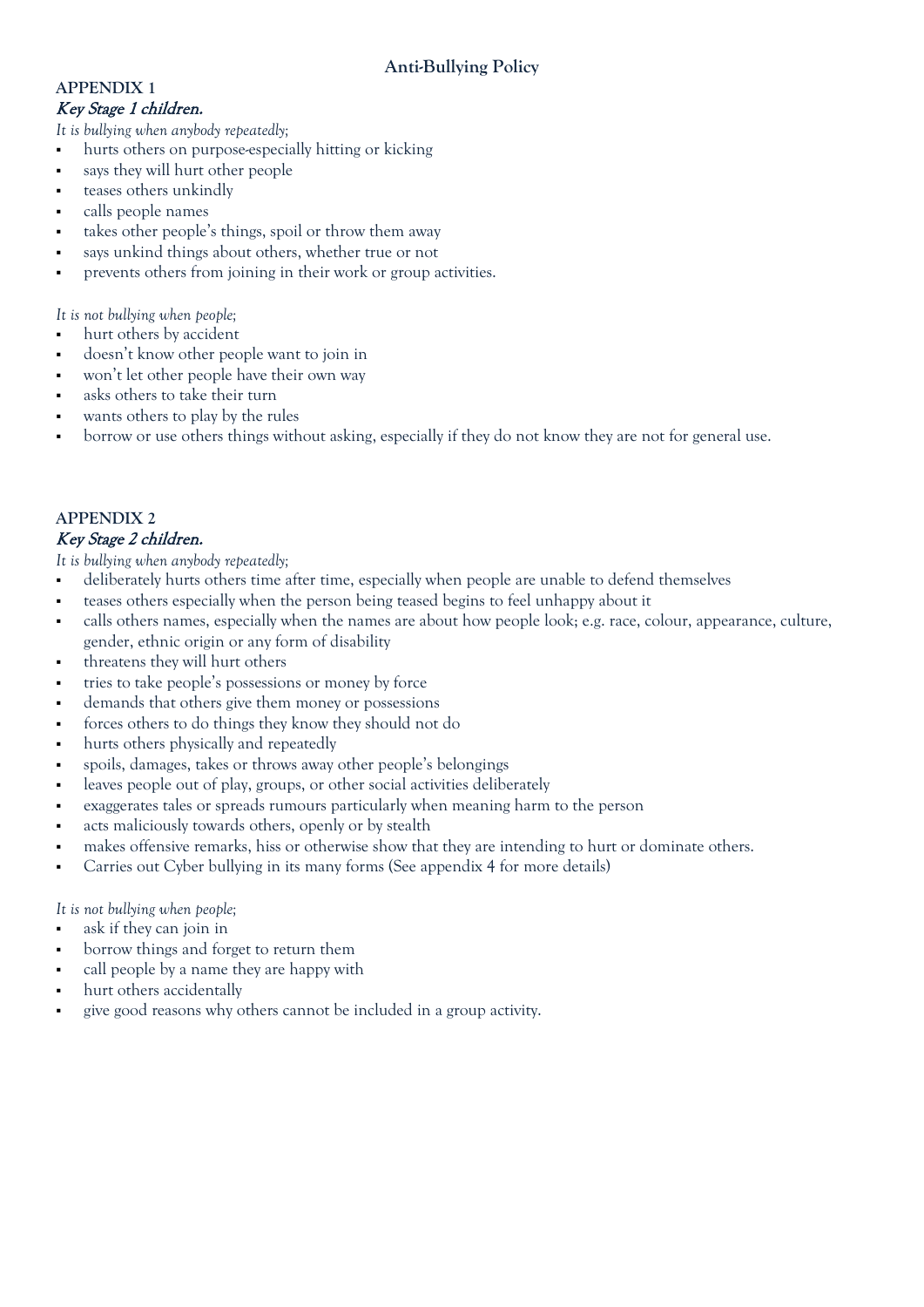### **APPENDIX 1**  Key Stage 1 children.

*It is bullying when anybody repeatedly;* 

- hurts others on purpose-especially hitting or kicking
- says they will hurt other people
- teases others unkindly
- calls people names
- takes other people's things, spoil or throw them away
- says unkind things about others, whether true or not
- prevents others from joining in their work or group activities.

*It is not bullying when people;*

- hurt others by accident
- doesn't know other people want to join in
- won't let other people have their own way
- asks others to take their turn
- wants others to play by the rules
- borrow or use others things without asking, especially if they do not know they are not for general use.

### **APPENDIX 2**

### Key Stage 2 children.

*It is bullying when anybody repeatedly;* 

- deliberately hurts others time after time, especially when people are unable to defend themselves
- teases others especially when the person being teased begins to feel unhappy about it
- calls others names, especially when the names are about how people look; e.g. race, colour, appearance, culture, gender, ethnic origin or any form of disability
- threatens they will hurt others
- tries to take people's possessions or money by force
- demands that others give them money or possessions
- forces others to do things they know they should not do
- hurts others physically and repeatedly
- spoils, damages, takes or throws away other people's belongings
- leaves people out of play, groups, or other social activities deliberately
- exaggerates tales or spreads rumours particularly when meaning harm to the person
- acts maliciously towards others, openly or by stealth
- makes offensive remarks, hiss or otherwise show that they are intending to hurt or dominate others.
- Carries out Cyber bullying in its many forms (See appendix 4 for more details)

*It is not bullying when people;*

- ask if they can join in
- borrow things and forget to return them
- call people by a name they are happy with
- hurt others accidentally
- give good reasons why others cannot be included in a group activity.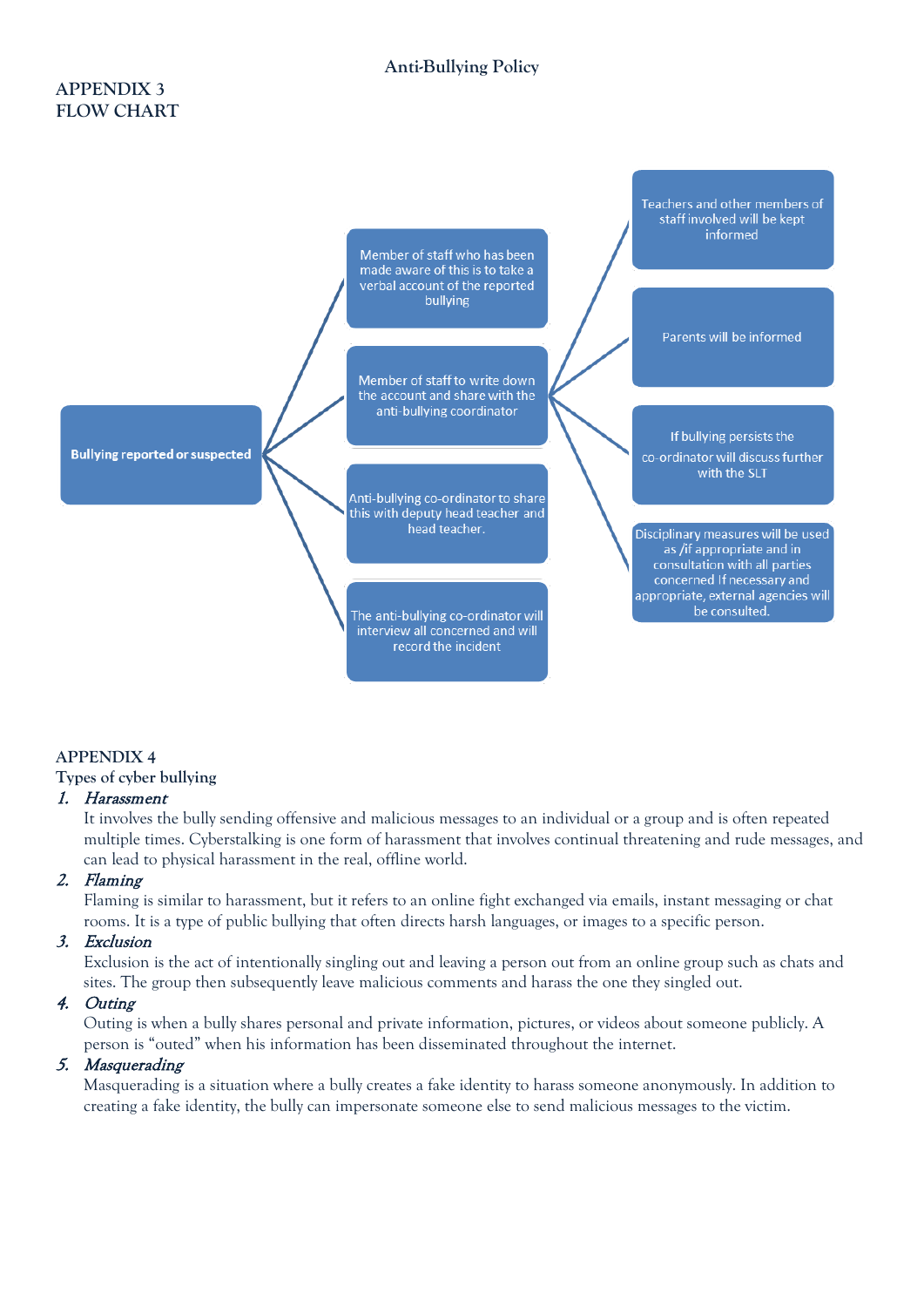### **APPENDIX 3 FLOW CHART**



### **APPENDIX 4**

### **Types of cyber bullying**

### 1. Harassment

It involves the bully sending offensive and malicious messages to an individual or a group and is often repeated multiple times. Cyberstalking is one form of harassment that involves continual threatening and rude messages, and can lead to physical harassment in the real, offline world.

### 2. Flaming

Flaming is similar to harassment, but it refers to an online fight exchanged via emails, instant messaging or chat rooms. It is a type of public bullying that often directs harsh languages, or images to a specific person.

### 3. Exclusion

Exclusion is the act of intentionally singling out and leaving a person out from an online group such as chats and sites. The group then subsequently leave malicious comments and harass the one they singled out.

### 4. Outing

Outing is when a bully shares personal and private information, pictures, or videos about someone publicly. A person is "outed" when his information has been disseminated throughout the internet.

### 5. Masquerading

Masquerading is a situation where a bully creates a fake identity to harass someone anonymously. In addition to creating a fake identity, the bully can impersonate someone else to send malicious messages to the victim.